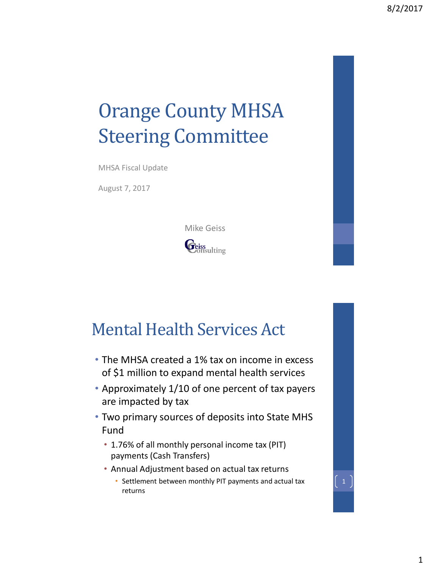# Orange County MHSA Steering Committee

MHSA Fiscal Update

August 7, 2017

Mike Geiss



### Mental Health Services Act

- The MHSA created a 1% tax on income in excess of \$1 million to expand mental health services
- Approximately 1/10 of one percent of tax payers are impacted by tax
- Two primary sources of deposits into State MHS Fund
	- 1.76% of all monthly personal income tax (PIT) payments (Cash Transfers)
	- Annual Adjustment based on actual tax returns
		- Settlement between monthly PIT payments and actual tax returns

 $\begin{pmatrix} 1 \end{pmatrix}$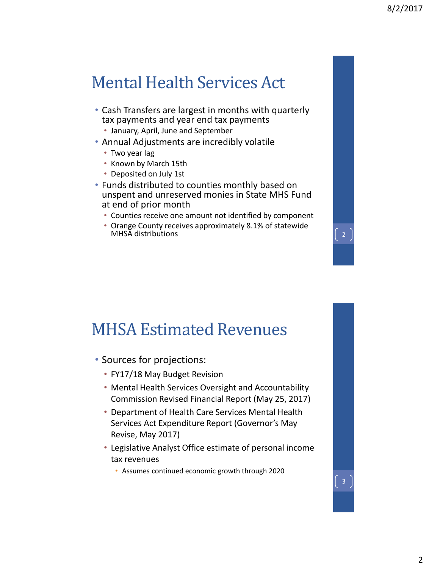#### Mental Health Services Act

- Cash Transfers are largest in months with quarterly tax payments and year end tax payments
	- January, April, June and September
- Annual Adjustments are incredibly volatile
	- Two year lag
	- Known by March 15th
	- Deposited on July 1st
- Funds distributed to counties monthly based on unspent and unreserved monies in State MHS Fund at end of prior month
	- Counties receive one amount not identified by component
	- Orange County receives approximately 8.1% of statewide MHSA distributions 2007 and 2008 and 2008

#### MHSA Estimated Revenues

- Sources for projections:
	- FY17/18 May Budget Revision
	- Mental Health Services Oversight and Accountability Commission Revised Financial Report (May 25, 2017)
	- Department of Health Care Services Mental Health Services Act Expenditure Report (Governor's May Revise, May 2017)
	- Legislative Analyst Office estimate of personal income tax revenues
		- Assumes continued economic growth through 2020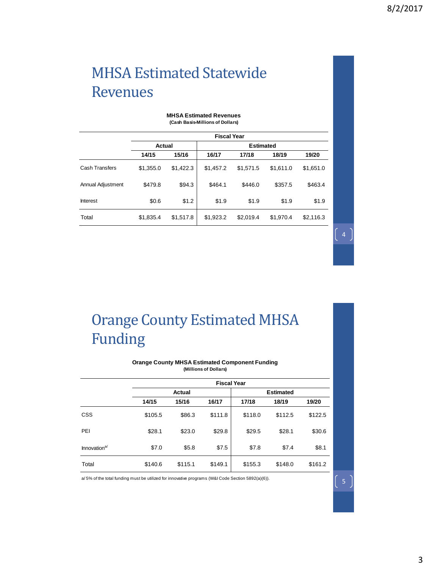#### MHSA Estimated Statewide Revenues

| (Cash Basis-Millions of Dollars) |                    |           |                  |           |           |           |  |  |  |  |
|----------------------------------|--------------------|-----------|------------------|-----------|-----------|-----------|--|--|--|--|
|                                  | <b>Fiscal Year</b> |           |                  |           |           |           |  |  |  |  |
|                                  | Actual             |           | <b>Estimated</b> |           |           |           |  |  |  |  |
|                                  | 14/15              | 15/16     | 16/17            | 17/18     | 18/19     | 19/20     |  |  |  |  |
| <b>Cash Transfers</b>            | \$1,355.0          | \$1,422.3 | \$1,457.2        | \$1,571.5 | \$1,611.0 | \$1,651.0 |  |  |  |  |
| Annual Adjustment                | \$479.8            | \$94.3    | \$464.1          | \$446.0   | \$357.5   | \$463.4   |  |  |  |  |
| Interest                         | \$0.6              | \$1.2     | \$1.9            | \$1.9     | \$1.9     | \$1.9     |  |  |  |  |
| Total                            | \$1,835.4          | \$1,517.8 | \$1,923.2        | \$2,019.4 | \$1,970.4 | \$2,116.3 |  |  |  |  |

#### **MHSA Estimated Revenues**

Orange County Estimated MHSA Funding

#### **Orange County MHSA Estimated Component Funding (Millions of Dollars)**

|                          | <b>Fiscal Year</b> |         |         |                  |         |         |  |  |  |
|--------------------------|--------------------|---------|---------|------------------|---------|---------|--|--|--|
|                          | Actual             |         |         | <b>Estimated</b> |         |         |  |  |  |
|                          | 14/15              | 15/16   | 16/17   | 17/18            | 18/19   | 19/20   |  |  |  |
| <b>CSS</b>               | \$105.5            | \$86.3  | \$111.8 | \$118.0          | \$112.5 | \$122.5 |  |  |  |
| PEI                      | \$28.1             | \$23.0  | \$29.8  | \$29.5           | \$28.1  | \$30.6  |  |  |  |
| Innovation <sup>a/</sup> | \$7.0              | \$5.8   | \$7.5   | \$7.8            | \$7.4   | \$8.1   |  |  |  |
| Total                    | \$140.6            | \$115.1 | \$149.1 | \$155.3          | \$148.0 | \$161.2 |  |  |  |

a/ 5% of the total funding must be utilized for innovative programs (W&I Code Section 5892(a)(6)).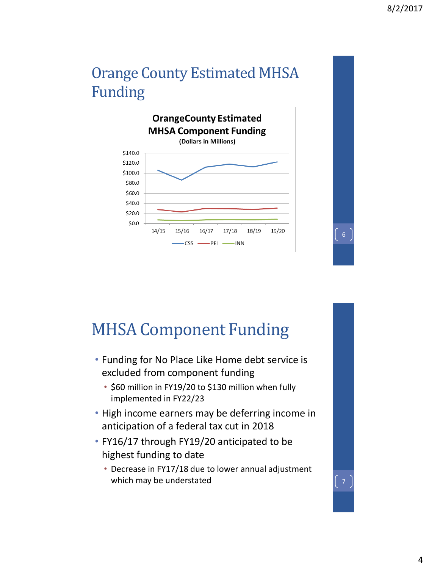#### Orange County Estimated MHSA Funding



### MHSA Component Funding

- Funding for No Place Like Home debt service is excluded from component funding
	- \$60 million in FY19/20 to \$130 million when fully implemented in FY22/23
- High income earners may be deferring income in anticipation of a federal tax cut in 2018
- FY16/17 through FY19/20 anticipated to be highest funding to date
	- Decrease in FY17/18 due to lower annual adjustment which may be understated  $\begin{bmatrix} 7 \end{bmatrix}$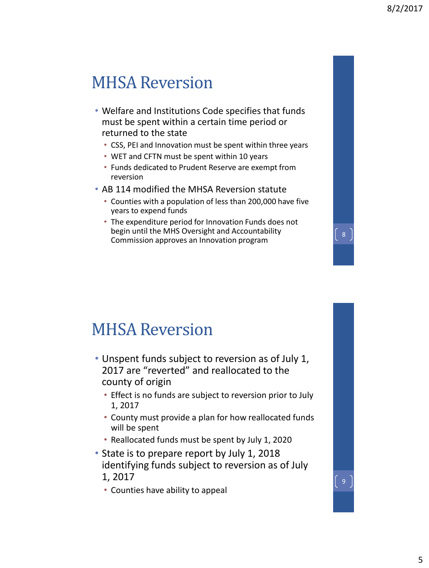$\sqrt{8}$ 

#### MHSA Reversion

- Welfare and Institutions Code specifies that funds must be spent within a certain time period or returned to the state
	- CSS, PEI and Innovation must be spent within three years
	- WET and CFTN must be spent within 10 years
	- Funds dedicated to Prudent Reserve are exempt from reversion
- AB 114 modified the MHSA Reversion statute
	- Counties with a population of less than 200,000 have five years to expend funds
	- The expenditure period for Innovation Funds does not begin until the MHS Oversight and Accountability Commission approves an Innovation program

#### MHSA Reversion

- Unspent funds subject to reversion as of July 1, 2017 are "reverted" and reallocated to the county of origin
	- Effect is no funds are subject to reversion prior to July 1, 2017
	- County must provide a plan for how reallocated funds will be spent
	- Reallocated funds must be spent by July 1, 2020
- State is to prepare report by July 1, 2018 identifying funds subject to reversion as of July 1, 2017
	- Counties have ability to appeal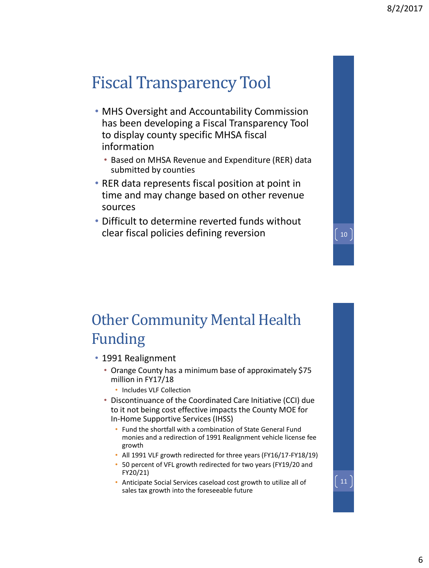## Fiscal Transparency Tool

- MHS Oversight and Accountability Commission has been developing a Fiscal Transparency Tool to display county specific MHSA fiscal information
	- Based on MHSA Revenue and Expenditure (RER) data submitted by counties
- RER data represents fiscal position at point in time and may change based on other revenue sources
- Difficult to determine reverted funds without clear fiscal policies defining reversion  $\left(10\right)$

#### Other Community Mental Health Funding

• 1991 Realignment

- Orange County has a minimum base of approximately \$75 million in FY17/18
	- Includes VLF Collection
- Discontinuance of the Coordinated Care Initiative (CCI) due to it not being cost effective impacts the County MOE for In-Home Supportive Services (IHSS)
	- Fund the shortfall with a combination of State General Fund monies and a redirection of 1991 Realignment vehicle license fee growth
	- All 1991 VLF growth redirected for three years (FY16/17-FY18/19)
	- 50 percent of VFL growth redirected for two years (FY19/20 and FY20/21)
	- Anticipate Social Services caseload cost growth to utilize all of sales tax growth into the foreseeable future

 $\boxed{11}$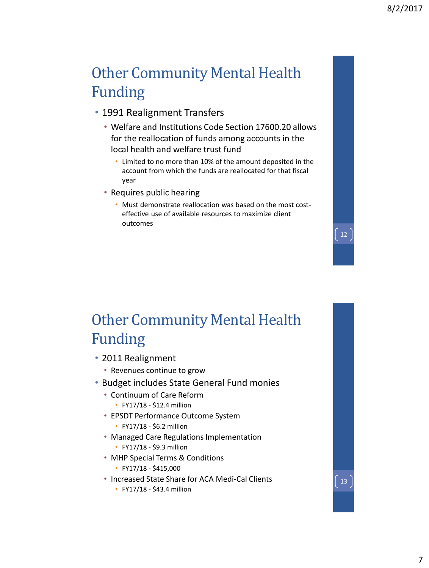$\begin{bmatrix} 12 \end{bmatrix}$ 

13

#### Other Community Mental Health Funding

- 1991 Realignment Transfers
	- Welfare and Institutions Code Section 17600.20 allows for the reallocation of funds among accounts in the local health and welfare trust fund
		- Limited to no more than 10% of the amount deposited in the account from which the funds are reallocated for that fiscal year
	- Requires public hearing
		- Must demonstrate reallocation was based on the most costeffective use of available resources to maximize client outcomes

#### Other Community Mental Health Funding

- 2011 Realignment
	- Revenues continue to grow
- Budget includes State General Fund monies
	- Continuum of Care Reform
		- FY17/18 \$12.4 million
	- EPSDT Performance Outcome System
		- FY17/18 \$6.2 million
	- Managed Care Regulations Implementation
		- FY17/18 \$9.3 million
	- MHP Special Terms & Conditions
		- FY17/18 \$415,000
	- Increased State Share for ACA Medi-Cal Clients
		- FY17/18 \$43.4 million